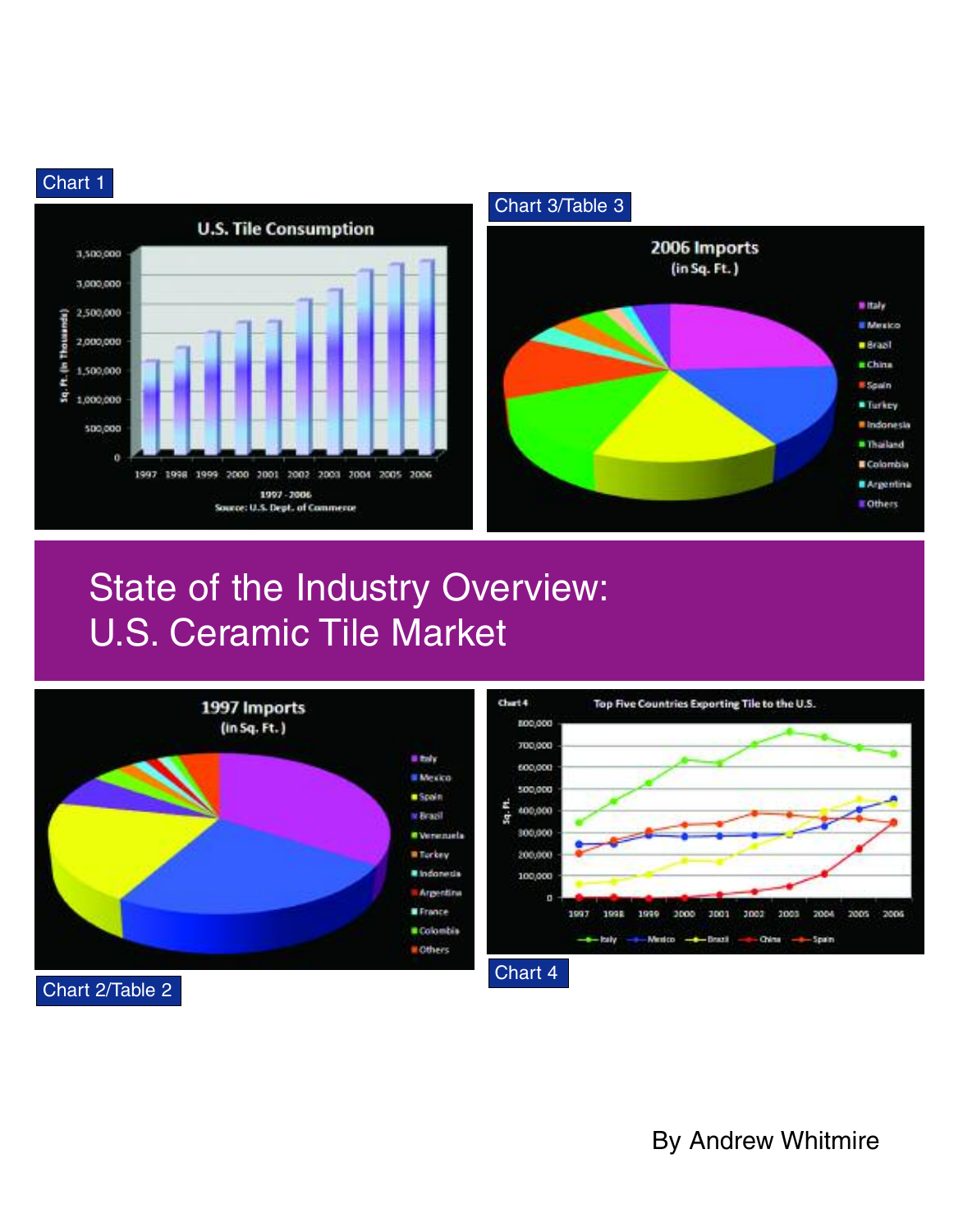# Chart 1





# State of the Industry Overview: U.S. Ceramic Tile Market





Chart 2/Table 2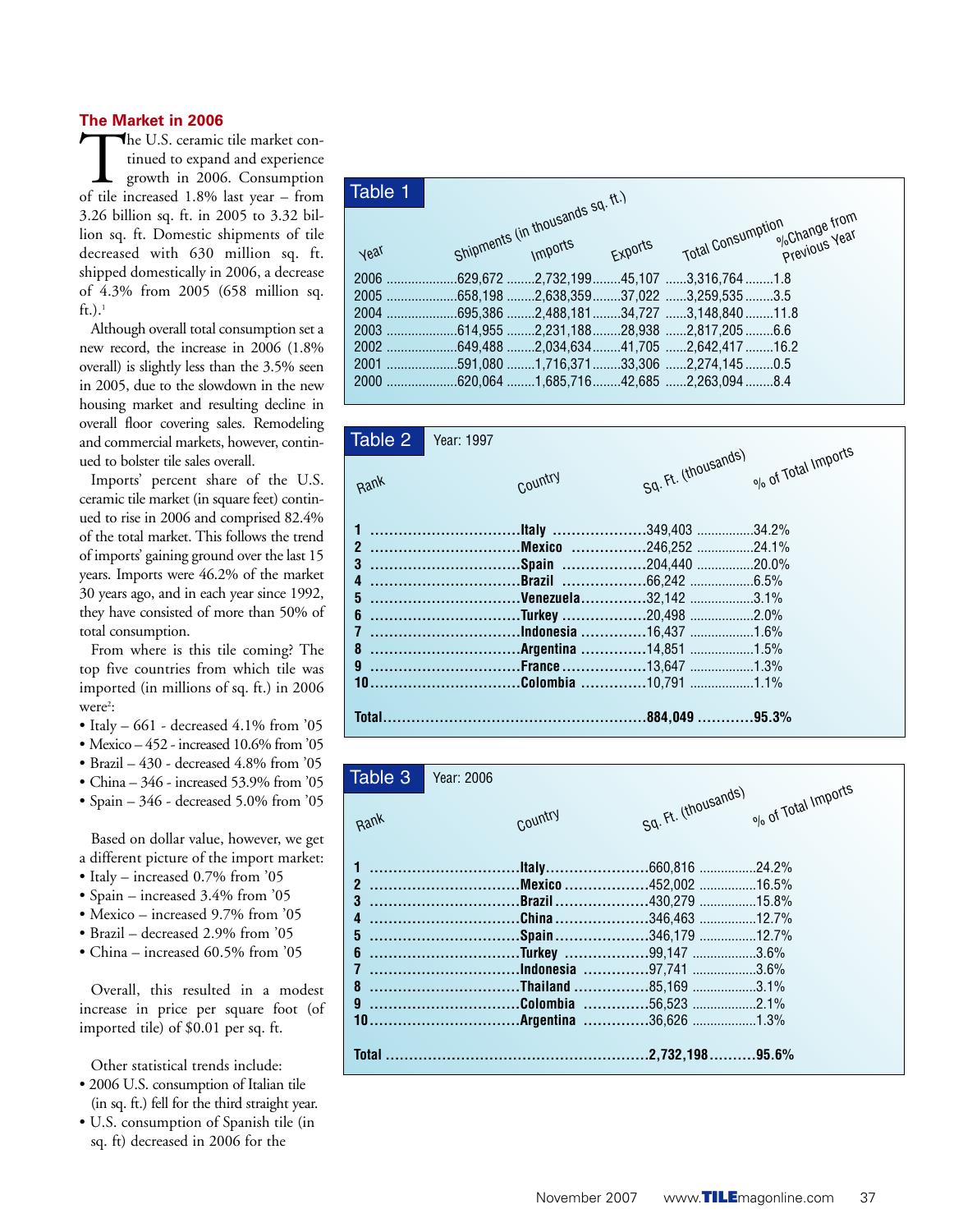#### **The Market in 2006**

The U.S. ceramic tile market continued to expand and experience growth in 2006. Consumption of tile increased 1.8% last year – from tinued to expand and experience growth in 2006. Consumption 3.26 billion sq. ft. in 2005 to 3.32 billion sq. ft. Domestic shipments of tile decreased with 630 million sq. ft. shipped domestically in 2006, a decrease of 4.3% from 2005 (658 million sq.  $ft.$ ).<sup>1</sup>

Although overall total consumption set a new record, the increase in 2006 (1.8% overall) is slightly less than the 3.5% seen in 2005, due to the slowdown in the new housing market and resulting decline in overall floor covering sales. Remodeling and commercial markets, however, continued to bolster tile sales overall.

Imports' percent share of the U.S. ceramic tile market (in square feet) continued to rise in 2006 and comprised 82.4% of the total market. This follows the trend of imports' gaining ground over the last 15 years. Imports were 46.2% of the market 30 years ago, and in each year since 1992, they have consisted of more than 50% of total consumption.

From where is this tile coming? The top five countries from which tile was imported (in millions of sq. ft.) in 2006  $were<sup>2</sup>:$ 

- Italy  $-661$  decreased  $4.1\%$  from  $'05$
- Mexico 452 increased 10.6% from '05
- Brazil 430 decreased 4.8% from '05
- China 346 increased 53.9% from '05
- Spain 346 decreased 5.0% from '05

Based on dollar value, however, we get a different picture of the import market:

- Italy increased 0.7% from '05
- Spain increased 3.4% from '05
- Mexico increased 9.7% from '05
- Brazil decreased 2.9% from '05
- China increased 60.5% from '05

Overall, this resulted in a modest increase in price per square foot (of imported tile) of \$0.01 per sq. ft.

Other statistical trends include:

- 2006 U.S. consumption of Italian tile (in sq. ft.) fell for the third straight year.
- U.S. consumption of Spanish tile (in sq. ft) decreased in 2006 for the

| Table 1 |                                              |         |                   |                                                          |  |
|---------|----------------------------------------------|---------|-------------------|----------------------------------------------------------|--|
|         |                                              |         |                   |                                                          |  |
| year    | Shipments (in thousands sq. ft.)             | Exports | Total Consumption | <sup>o</sup> / <sub>o</sub> Change from<br>Previous Year |  |
|         | 2006 629,672 2,732,199 45,107 3,316,764 1.8  |         |                   |                                                          |  |
|         | 2005 658,198 2,638,359 37,022 3,259,535 3.5  |         |                   |                                                          |  |
|         | 2004 695,386 2,488,181 34,727 3,148,840 11.8 |         |                   |                                                          |  |
|         | 2003 614,955 2,231,188 28,938 2,817,205 6.6  |         |                   |                                                          |  |
|         | 2002 649,488 2,034,634 41,705 2,642,417 16.2 |         |                   |                                                          |  |
|         | 2001 591,080 1,716,371 33,306 2,274,145 0.5  |         |                   |                                                          |  |
|         | 2000 620,064 1,685,716 42,685 2,263,094 8.4  |         |                   |                                                          |  |
|         |                                              |         |                   |                                                          |  |



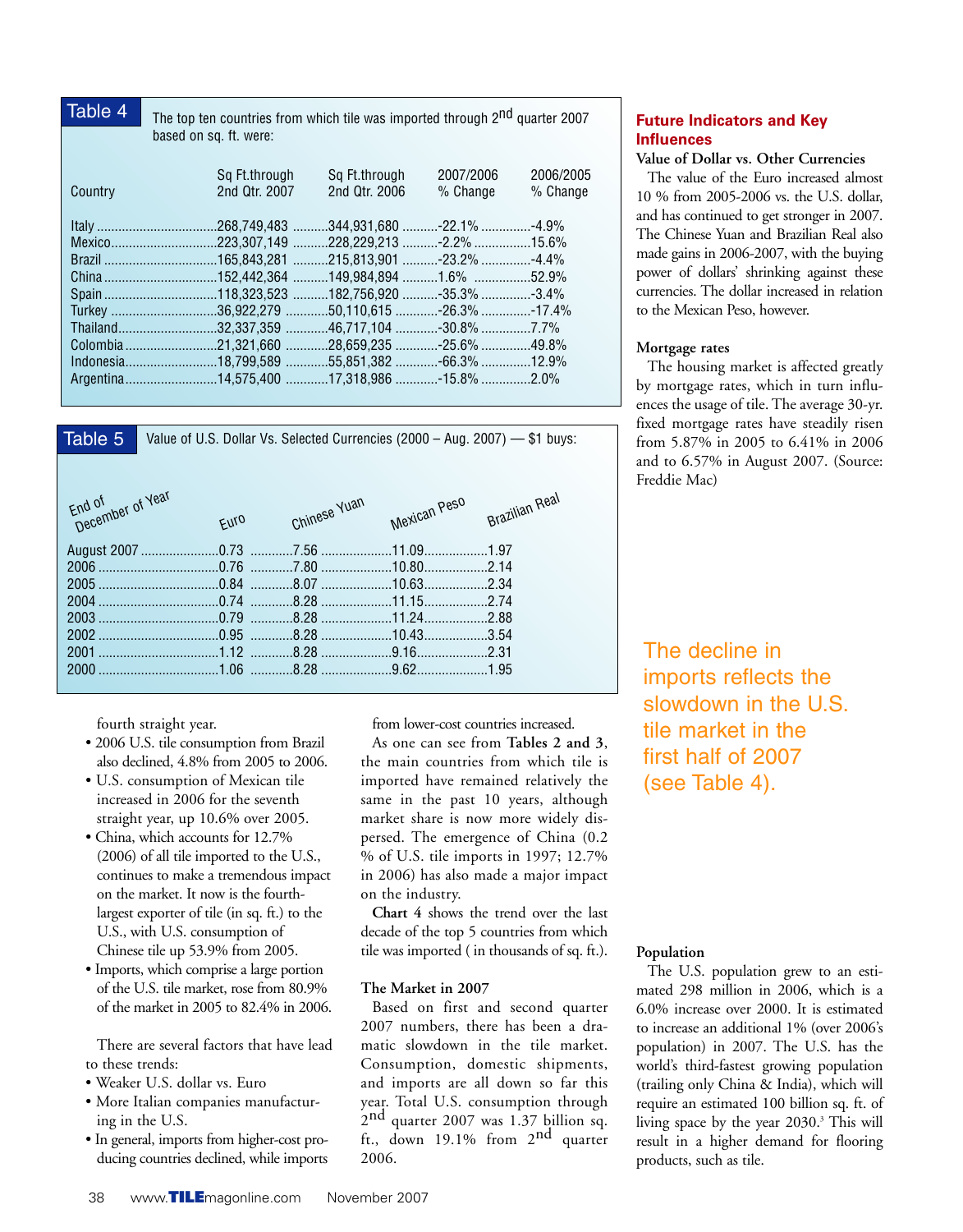| Table 4                | The top ten countries from which tile was imported through 2 <sup>nd</sup> quarter 2007 |               |           |           |  |  |  |  |  |
|------------------------|-----------------------------------------------------------------------------------------|---------------|-----------|-----------|--|--|--|--|--|
| based on sq. ft. were: |                                                                                         |               |           |           |  |  |  |  |  |
|                        |                                                                                         |               |           |           |  |  |  |  |  |
|                        | Sq Ft.through                                                                           | Sg Ft.through | 2007/2006 | 2006/2005 |  |  |  |  |  |
| Country                | 2nd Qtr. 2007                                                                           | 2nd Qtr. 2006 | % Change  | % Change  |  |  |  |  |  |
|                        |                                                                                         |               |           |           |  |  |  |  |  |
|                        |                                                                                         |               |           |           |  |  |  |  |  |
|                        | Mexico223,307,149 228,229,213 -2.2% 15.6%                                               |               |           |           |  |  |  |  |  |
|                        |                                                                                         |               |           |           |  |  |  |  |  |
|                        | China 152,442,364 149,984,894 1.6% 52.9%                                                |               |           |           |  |  |  |  |  |
|                        |                                                                                         |               |           |           |  |  |  |  |  |
|                        | Turkey 36,922,279 50,110,615 -26.3% -17.4%                                              |               |           |           |  |  |  |  |  |
|                        | Thailand32,337,359 46,717,104 30.8% 7.7%                                                |               |           |           |  |  |  |  |  |
|                        |                                                                                         |               |           |           |  |  |  |  |  |
|                        |                                                                                         |               |           |           |  |  |  |  |  |
|                        | Argentina14,575,400 17,318,986 -15.8% 2.0%                                              |               |           |           |  |  |  |  |  |
|                        |                                                                                         |               |           |           |  |  |  |  |  |



fourth straight year.

- 2006 U.S. tile consumption from Brazil also declined, 4.8% from 2005 to 2006.
- U.S. consumption of Mexican tile increased in 2006 for the seventh straight year, up 10.6% over 2005.
- China, which accounts for 12.7% (2006) of all tile imported to the U.S., continues to make a tremendous impact on the market. It now is the fourthlargest exporter of tile (in sq. ft.) to the U.S., with U.S. consumption of Chinese tile up 53.9% from 2005.
- Imports, which comprise a large portion of the U.S. tile market, rose from 80.9% of the market in 2005 to 82.4% in 2006.

There are several factors that have lead to these trends:

- Weaker U.S. dollar vs. Euro
- More Italian companies manufacturing in the U.S.
- In general, imports from higher-cost producing countries declined, while imports

from lower-cost countries increased.

As one can see from **Tables 2 and 3**, the main countries from which tile is imported have remained relatively the same in the past 10 years, although market share is now more widely dispersed. The emergence of China (0.2 % of U.S. tile imports in 1997; 12.7% in 2006) has also made a major impact on the industry.

**Chart 4** shows the trend over the last decade of the top 5 countries from which tile was imported ( in thousands of sq. ft.).

## **The Market in 2007**

Based on first and second quarter 2007 numbers, there has been a dramatic slowdown in the tile market. Consumption, domestic shipments, and imports are all down so far this year. Total U.S. consumption through 2nd quarter 2007 was 1.37 billion sq. ft., down 19.1% from  $2^{nd}$  quarter 2006.

# **Future Indicators and Key Influences**

#### **Value of Dollar vs. Other Currencies**

The value of the Euro increased almost 10 % from 2005-2006 vs. the U.S. dollar, and has continued to get stronger in 2007. The Chinese Yuan and Brazilian Real also made gains in 2006-2007, with the buying power of dollars' shrinking against these currencies. The dollar increased in relation to the Mexican Peso, however.

#### **Mortgage rates**

The housing market is affected greatly by mortgage rates, which in turn influences the usage of tile. The average 30-yr. fixed mortgage rates have steadily risen from 5.87% in 2005 to 6.41% in 2006 and to 6.57% in August 2007. (Source: Freddie Mac)

The decline in imports reflects the slowdown in the U.S. tile market in the first half of 2007 (see Table 4).

## **Population**

The U.S. population grew to an estimated 298 million in 2006, which is a 6.0% increase over 2000. It is estimated to increase an additional 1% (over 2006's population) in 2007. The U.S. has the world's third-fastest growing population (trailing only China & India), which will require an estimated 100 billion sq. ft. of living space by the year 2030.3 This will result in a higher demand for flooring products, such as tile.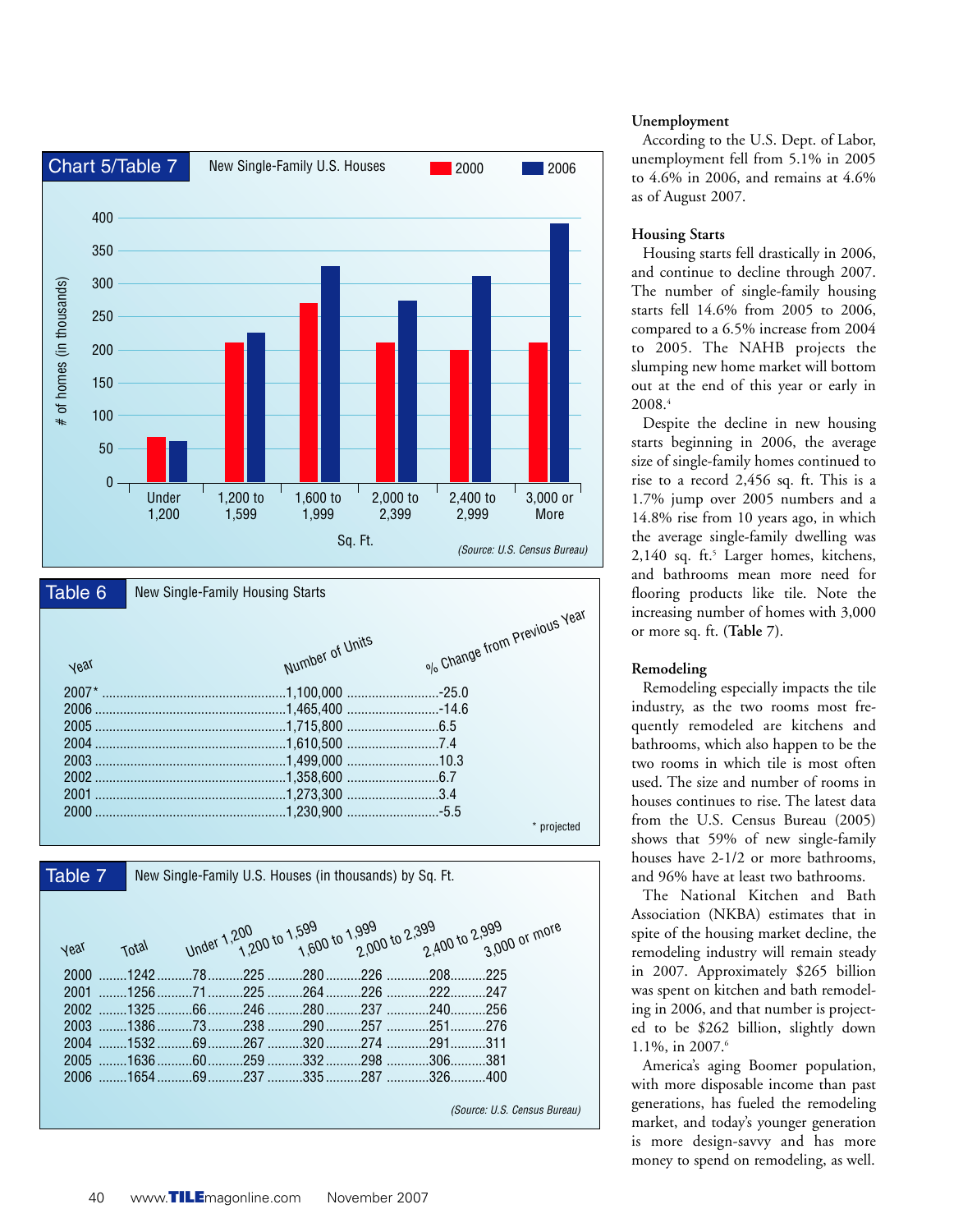

*(Source: U.S. Census Bureau)* 

#### **Unemployment**

According to the U.S. Dept. of Labor, unemployment fell from 5.1% in 2005 to 4.6% in 2006, and remains at 4.6% as of August 2007.

#### **Housing Starts**

Housing starts fell drastically in 2006, and continue to decline through 2007. The number of single-family housing starts fell 14.6% from 2005 to 2006, compared to a 6.5% increase from 2004 to 2005. The NAHB projects the slumping new home market will bottom out at the end of this year or early in 2008.4

Despite the decline in new housing starts beginning in 2006, the average size of single-family homes continued to rise to a record 2,456 sq. ft. This is a 1.7% jump over 2005 numbers and a 14.8% rise from 10 years ago, in which the average single-family dwelling was 2,140 sq. ft.<sup>5</sup> Larger homes, kitchens, and bathrooms mean more need for flooring products like tile. Note the increasing number of homes with 3,000 or more sq. ft. **(Table 7)**.

#### **Remodeling**

Remodeling especially impacts the tile industry, as the two rooms most frequently remodeled are kitchens and bathrooms, which also happen to be the two rooms in which tile is most often used. The size and number of rooms in houses continues to rise. The latest data from the U.S. Census Bureau (2005) shows that 59% of new single-family houses have 2-1/2 or more bathrooms, and 96% have at least two bathrooms.

The National Kitchen and Bath Association (NKBA) estimates that in spite of the housing market decline, the remodeling industry will remain steady in 2007. Approximately \$265 billion was spent on kitchen and bath remodeling in 2006, and that number is projected to be \$262 billion, slightly down 1.1%, in 2007.6

America's aging Boomer population, with more disposable income than past generations, has fueled the remodeling market, and today's younger generation is more design-savvy and has more money to spend on remodeling, as well.